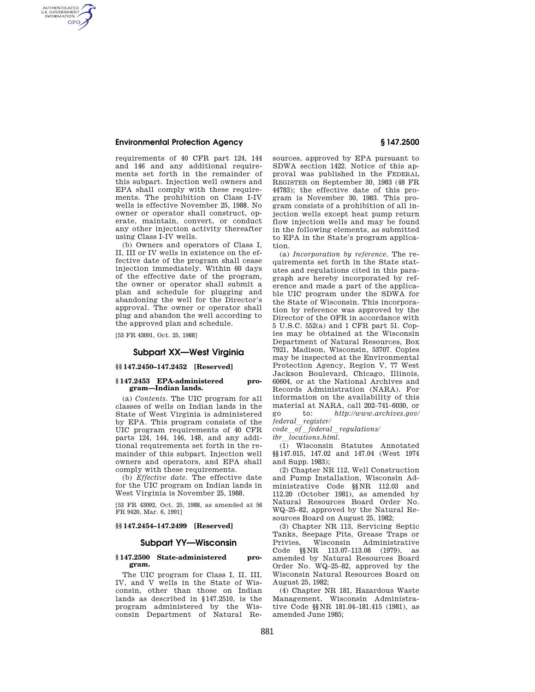# **Environmental Protection Agency § 147.2500**

AUTHENTICATED<br>U.S. GOVERNMENT<br>INFORMATION **GPO** 

> requirements of 40 CFR part 124, 144 and 146 and any additional requirements set forth in the remainder of this subpart. Injection well owners and EPA shall comply with these requirements. The prohibition on Class I-IV wells is effective November 25, 1988. No owner or operator shall construct, operate, maintain, convert, or conduct any other injection activity thereafter using Class I-IV wells.

> (b) Owners and operators of Class I, II, III or IV wells in existence on the effective date of the program shall cease injection immediately. Within 60 days of the effective date of the program, the owner or operator shall submit a plan and schedule for plugging and abandoning the well for the Director's approval. The owner or operator shall plug and abandon the well according to the approved plan and schedule.

[53 FR 43091, Oct. 25, 1988]

## **Subpart XX—West Virginia**

# **§§ 147.2450–147.2452 [Reserved]**

### **§ 147.2453 EPA-administered program—Indian lands.**

(a) *Contents.* The UIC program for all classes of wells on Indian lands in the State of West Virginia is administered by EPA. This program consists of the UIC program requirements of 40 CFR parts 124, 144, 146, 148, and any additional requirements set forth in the remainder of this subpart. Injection well owners and operators, and EPA shall comply with these requirements.

(b) *Effective date.* The effective date for the UIC program on Indian lands in West Virginia is November 25, 1988.

[53 FR 43092, Oct. 25, 1988, as amended at 56 FR 9420, Mar. 6, 1991]

# **§§ 147.2454–147.2499 [Reserved]**

# **Subpart YY—Wisconsin**

### **§ 147.2500 State-administered program.**

The UIC program for Class I, II, III, IV, and V wells in the State of Wisconsin, other than those on Indian lands as described in §147.2510, is the program administered by the Wisconsin Department of Natural Resources, approved by EPA pursuant to SDWA section 1422. Notice of this approval was published in the FEDERAL REGISTER on September 30, 1983 (48 FR 44783); the effective date of this program is November 30, 1983. This program consists of a prohibition of all injection wells except heat pump return flow injection wells and may be found in the following elements, as submitted to EPA in the State's program application.

(a) *Incorporation by reference.* The requirements set forth in the State statutes and regulations cited in this paragraph are hereby incorporated by reference and made a part of the applicable UIC program under the SDWA for the State of Wisconsin. This incorporation by reference was approved by the Director of the OFR in accordance with 5 U.S.C. 552(a) and 1 CFR part 51. Copies may be obtained at the Wisconsin Department of Natural Resources, Box 7921, Madison, Wisconsin, 53707. Copies may be inspected at the Environmental Protection Agency, Region V, 77 West Jackson Boulevard, Chicago, Illinois, 60604, or at the National Archives and Records Administration (NARA). For information on the availability of this material at NARA, call 202–741–6030, or go to: *http://www.archives.gov/*   $federal\_register/$ 

*code*l*of*l*federal*l*regulations/* 

*ibr*l*locations.html.* 

(1) Wisconsin Statutes Annotated §§147.015, 147.02 and 147.04 (West 1974 and Supp. 1983);

(2) Chapter NR 112, Well Construction and Pump Installation, Wisconsin Administrative Code §§NR 112.03 and 112.20 (October 1981), as amended by Natural Resources Board Order No. WQ–25–82, approved by the Natural Resources Board on August 25, 1982;

(3) Chapter NR 113, Servicing Septic Tanks, Seepage Pits, Grease Traps or Privies, Wisconsin Administrative Code §§NR 113.07–113.08 (1979), as amended by Natural Resources Board Order No. WQ–25–82, approved by the Wisconsin Natural Resources Board on August 25, 1982;

(4) Chapter NR 181, Hazardous Waste Management, Wisconsin Administrative Code §§NR 181.04–181.415 (1981), as amended June 1985;